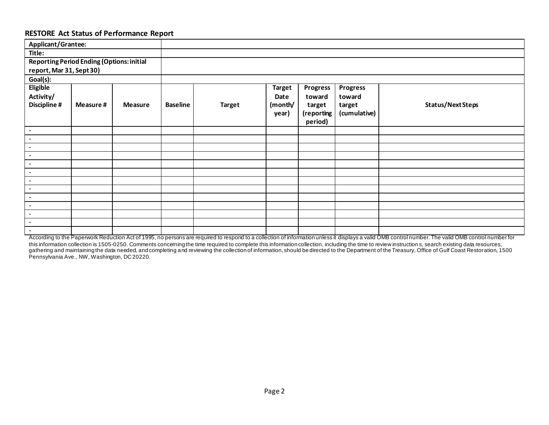## **RESTORE Act Status of Performance Report**

| Applicant/Grantee:                               |          |                |                 |               |               |                 |                 |                          |
|--------------------------------------------------|----------|----------------|-----------------|---------------|---------------|-----------------|-----------------|--------------------------|
| Title:                                           |          |                |                 |               |               |                 |                 |                          |
| <b>Reporting Period Ending (Options: initial</b> |          |                |                 |               |               |                 |                 |                          |
|                                                  |          |                |                 |               |               |                 |                 |                          |
| report, Mar 31, Sept 30)                         |          |                |                 |               |               |                 |                 |                          |
| Goal(s):                                         |          |                |                 |               |               |                 |                 |                          |
| <b>Eligible</b>                                  |          |                |                 |               | <b>Target</b> | <b>Progress</b> | <b>Progress</b> |                          |
| Activity/                                        |          |                |                 |               | Date          | toward          | toward          |                          |
| <b>Discipline #</b>                              | Measure# | <b>Measure</b> | <b>Baseline</b> | <b>Target</b> | (month/       | target          | target          | <b>Status/Next Steps</b> |
|                                                  |          |                |                 |               | year)         | (reporting      | (cumulative)    |                          |
|                                                  |          |                |                 |               |               | period)         |                 |                          |
| $\overline{\phantom{a}}$                         |          |                |                 |               |               |                 |                 |                          |
|                                                  |          |                |                 |               |               |                 |                 |                          |
| $\blacksquare$                                   |          |                |                 |               |               |                 |                 |                          |
| $\blacksquare$                                   |          |                |                 |               |               |                 |                 |                          |
| $\blacksquare$                                   |          |                |                 |               |               |                 |                 |                          |
| $\blacksquare$                                   |          |                |                 |               |               |                 |                 |                          |
| $\blacksquare$                                   |          |                |                 |               |               |                 |                 |                          |
| $\sim$                                           |          |                |                 |               |               |                 |                 |                          |
| $\blacksquare$                                   |          |                |                 |               |               |                 |                 |                          |
| $\blacksquare$                                   |          |                |                 |               |               |                 |                 |                          |
| $\blacksquare$                                   |          |                |                 |               |               |                 |                 |                          |
| $\blacksquare$                                   |          |                |                 |               |               |                 |                 |                          |
| $\blacksquare$                                   |          |                |                 |               |               |                 |                 |                          |
| $\blacksquare$                                   |          |                |                 |               |               |                 |                 |                          |

According to the Paperwork Reduction Act of 1995, no persons are required to respond to a collection of information unless it displays a valid OMB control number. The valid OMB control number for this information collection is 1505-0250. Comments concerning the time required to complete this information collection, including the time to review instruction s, search existing data resources, gathering and maintaining the data needed, and completing and reviewing the collection of information, should be directed to the Department of the Treasury, Office of Gulf Coast Restoration, 1500 Pennsylvania Ave., NW, Washington, DC 20220.